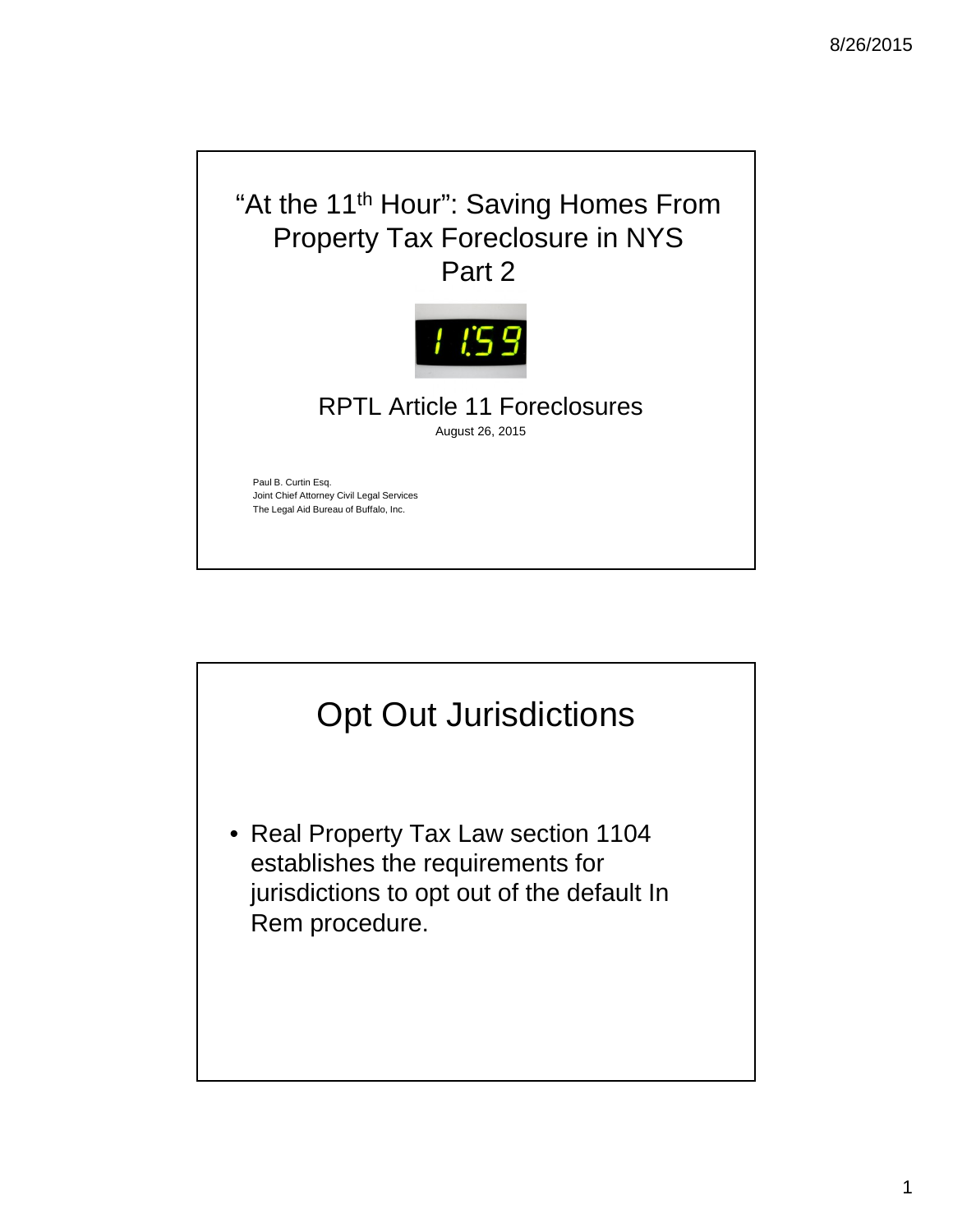

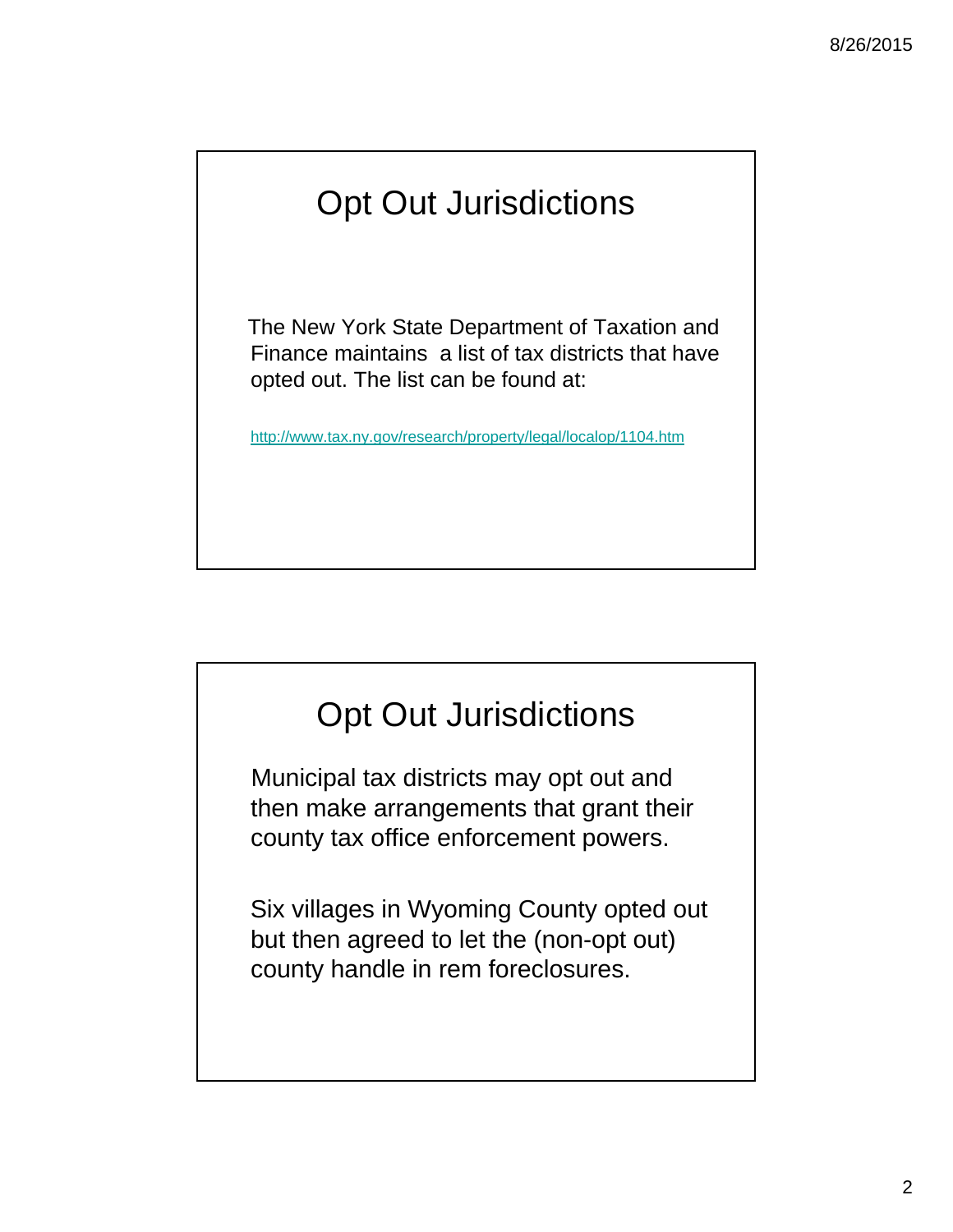# Opt Out Jurisdictions

The New York State Department of Taxation and Finance maintains a list of tax districts that have opted out. The list can be found at:

http://www.tax.ny.gov/research/property/legal/localop/1104.htm

## Opt Out Jurisdictions

Municipal tax districts may opt out and then make arrangements that grant their county tax office enforcement powers.

Six villages in Wyoming County opted out but then agreed to let the (non-opt out) county handle in rem foreclosures.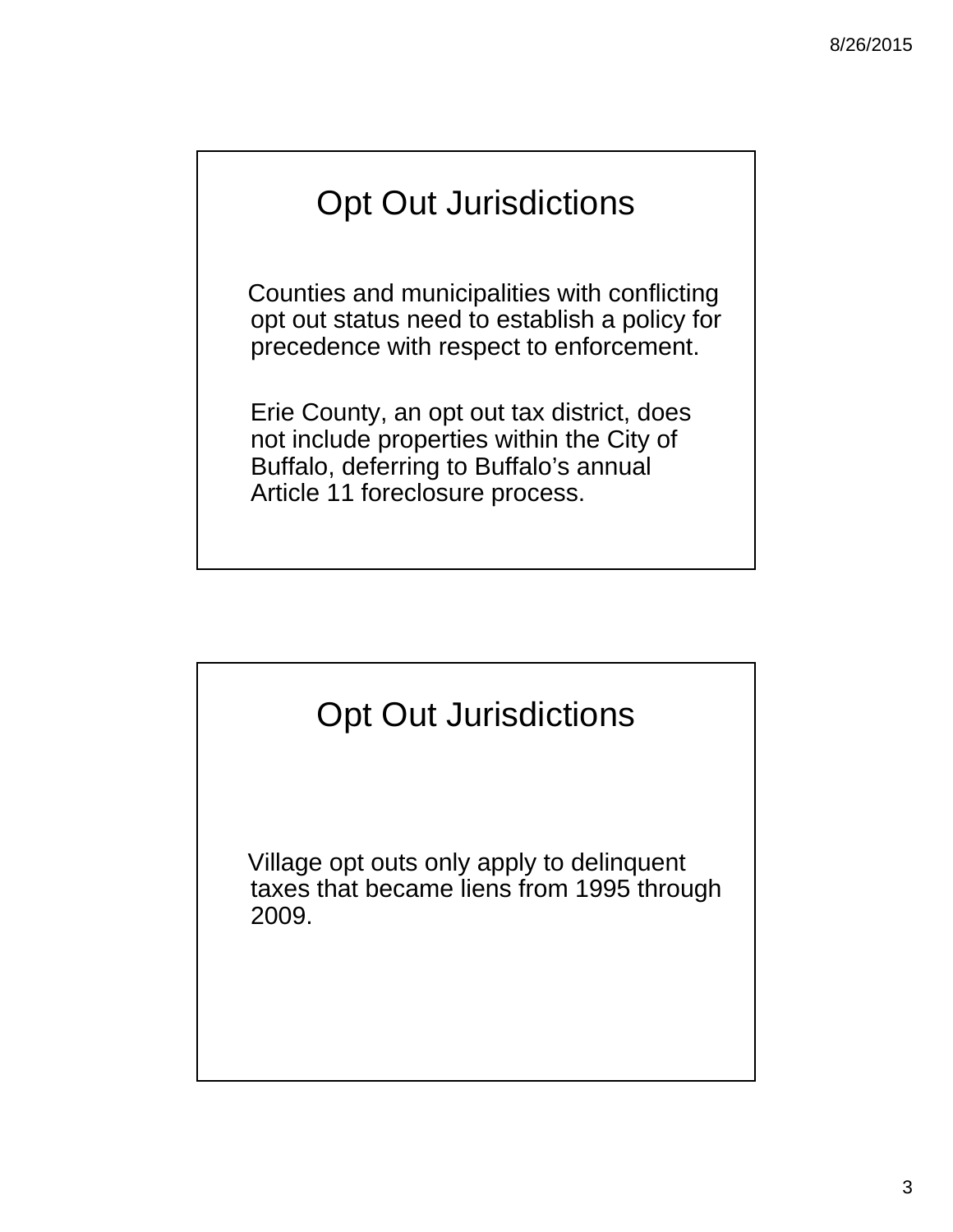# Opt Out Jurisdictions

Counties and municipalities with conflicting opt out status need to establish a policy for precedence with respect to enforcement.

Erie County, an opt out tax district, does not include properties within the City of Buffalo, deferring to Buffalo's annual Article 11 foreclosure process.



Village opt outs only apply to delinquent taxes that became liens from 1995 through 2009.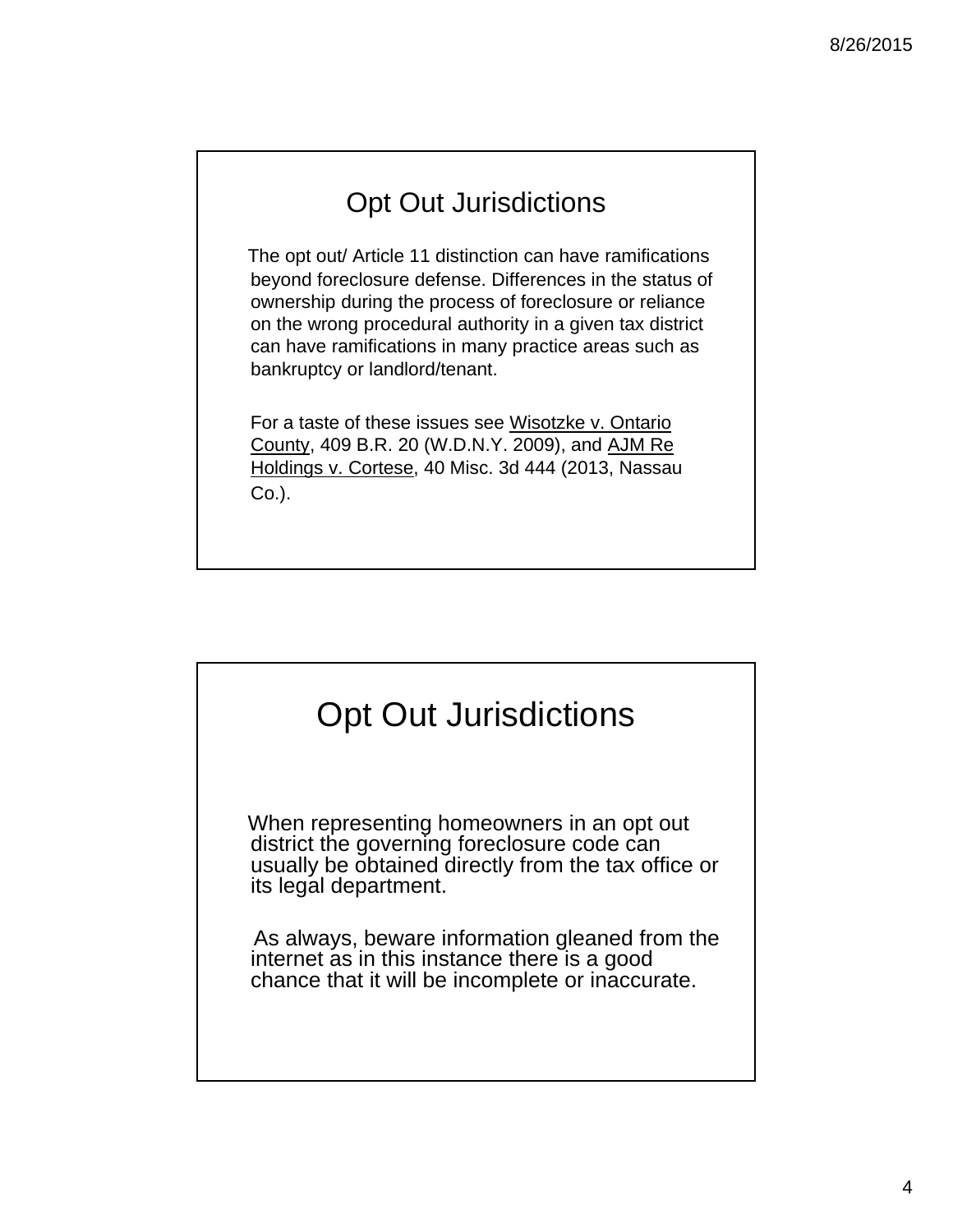#### Opt Out Jurisdictions

The opt out/ Article 11 distinction can have ramifications beyond foreclosure defense. Differences in the status of ownership during the process of foreclosure or reliance on the wrong procedural authority in a given tax district can have ramifications in many practice areas such as bankruptcy or landlord/tenant.

For a taste of these issues see Wisotzke v. Ontario County, 409 B.R. 20 (W.D.N.Y. 2009), and AJM Re Holdings v. Cortese, 40 Misc. 3d 444 (2013, Nassau Co.).

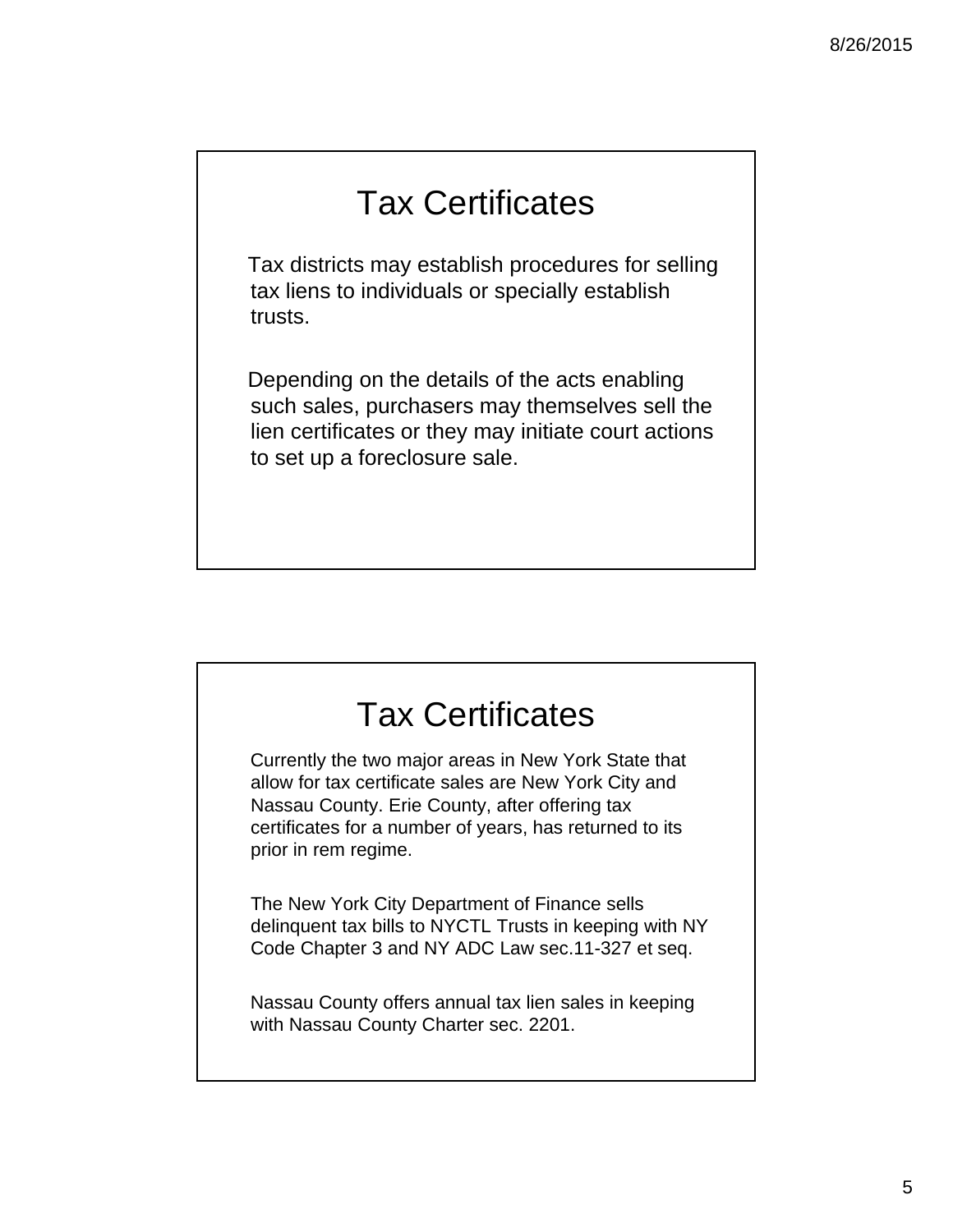## Tax Certificates

Tax districts may establish procedures for selling tax liens to individuals or specially establish trusts.

Depending on the details of the acts enabling such sales, purchasers may themselves sell the lien certificates or they may initiate court actions to set up a foreclosure sale.



Currently the two major areas in New York State that allow for tax certificate sales are New York City and Nassau County. Erie County, after offering tax certificates for a number of years, has returned to its prior in rem regime.

The New York City Department of Finance sells delinquent tax bills to NYCTL Trusts in keeping with NY Code Chapter 3 and NY ADC Law sec.11-327 et seq.

Nassau County offers annual tax lien sales in keeping with Nassau County Charter sec. 2201.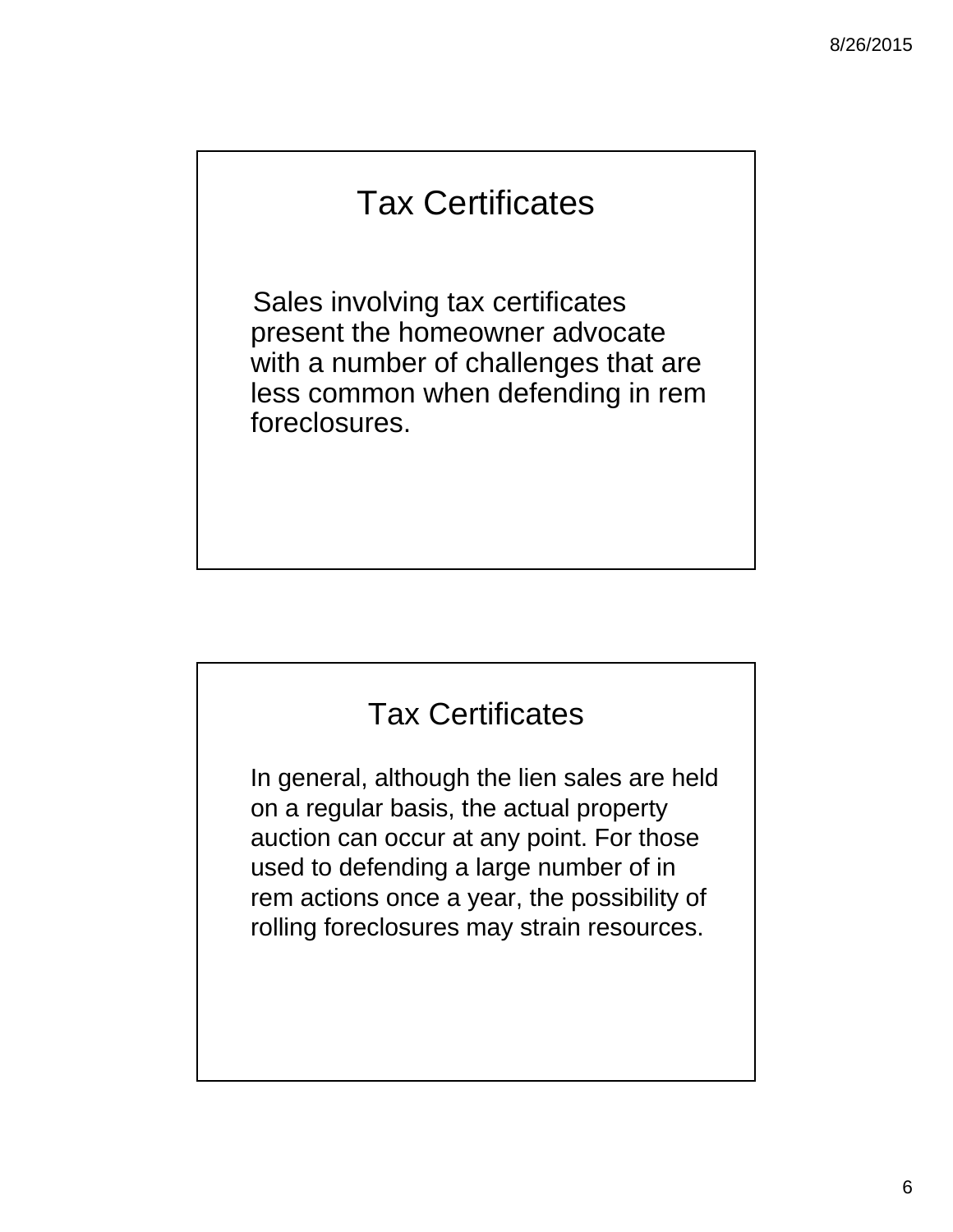## Tax Certificates

Sales involving tax certificates present the homeowner advocate with a number of challenges that are less common when defending in rem foreclosures.

#### Tax Certificates

In general, although the lien sales are held on a regular basis, the actual property auction can occur at any point. For those used to defending a large number of in rem actions once a year, the possibility of rolling foreclosures may strain resources.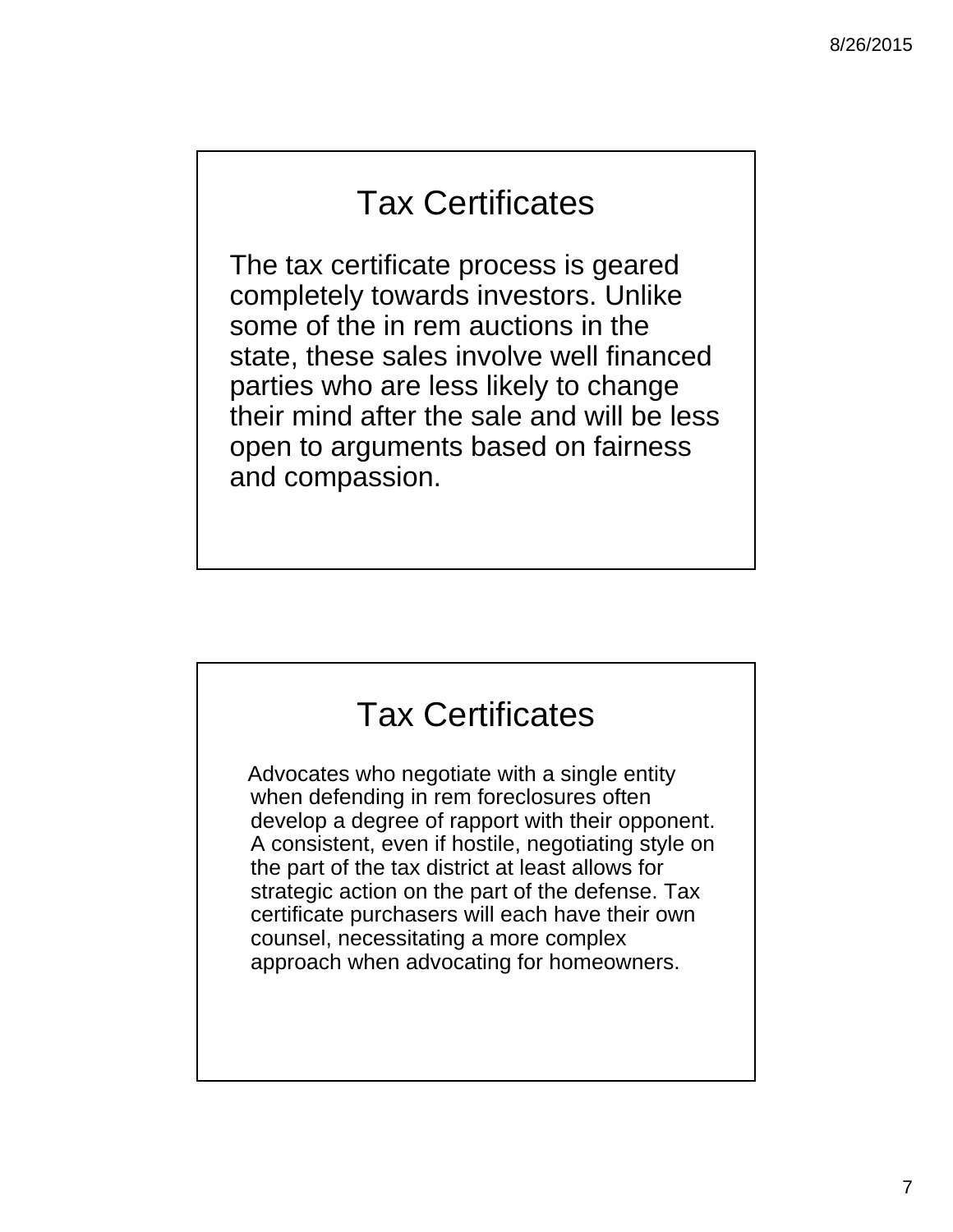#### Tax Certificates

The tax certificate process is geared completely towards investors. Unlike some of the in rem auctions in the state, these sales involve well financed parties who are less likely to change their mind after the sale and will be less open to arguments based on fairness and compassion.